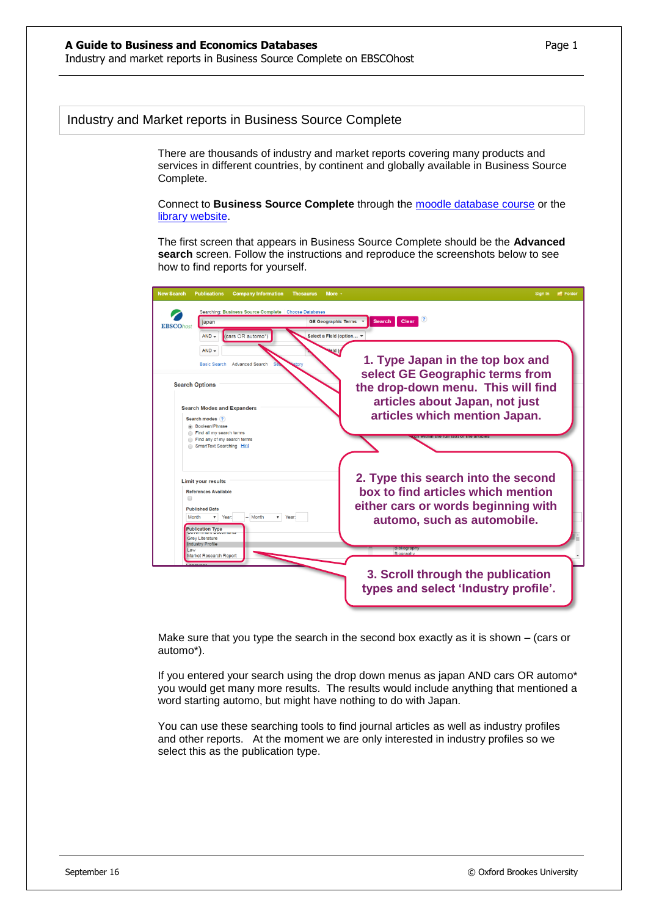## Industry and Market reports in Business Source Complete

There are thousands of industry and market reports covering many products and services in different countries, by continent and globally available in Business Source Complete.

Connect to **Business Source Complete** through the [moodle database course](https://moodle.brookes.ac.uk/course/view.php?id=19192) or the [library website.](http://www.brookes.ac.uk/Library/Subject-help/Business--Marketing-and-Economics/)

The first screen that appears in Business Source Complete should be the **Advanced search** screen. Follow the instructions and reproduce the screenshots below to see how to find reports for yourself.

| <b>New Search</b><br><b>Publications</b><br><b>Company Information</b><br><b>Thesaurus</b><br>More +                                                                                                                                                                  | Sign In <b>P</b> Folder                                                                                                                                                      |
|-----------------------------------------------------------------------------------------------------------------------------------------------------------------------------------------------------------------------------------------------------------------------|------------------------------------------------------------------------------------------------------------------------------------------------------------------------------|
| Searching: Business Source Complete Choose Databases<br><b>Search</b><br>Clear<br><b>GE Geographic Terms</b><br>japan<br><b>EBSCOhost</b><br>(cars OR automo*<br>$AND -$<br>Select a Field (option v                                                                  |                                                                                                                                                                              |
| $AND -$<br>Basic Search Advanced Search<br><b>Search Options</b><br><b>Search Modes and Expanders</b><br>Search modes ?<br><b>Boolean/Phrase</b><br>Find all my search terms<br>Find any of my search terms<br>SmartText Searching Hint                               | 1. Type Japan in the top box and<br>select GE Geographic terms from<br>the drop-down menu. This will find<br>articles about Japan, not just<br>articles which mention Japan. |
| <b>Limit your results</b><br><b>References Available</b><br>$\Box$<br><b>Published Date</b><br>Month<br>$v$ Year:<br>$-$ Month<br>$\mathbf{v}$<br>Year:<br><b>Publication Type</b><br>sovernment Document<br><b>Grey Literature</b><br><b>Industry Profile</b><br>Law | 2. Type this search into the second<br>box to find articles which mention<br>either cars or words beginning with<br>automo, such as automobile.                              |
| Market Research Report                                                                                                                                                                                                                                                | Biography<br>3. Scroll through the publication<br>types and select 'Industry profile'.                                                                                       |

Make sure that you type the search in the second box exactly as it is shown – (cars or automo\*).

If you entered your search using the drop down menus as japan AND cars OR automo\* you would get many more results. The results would include anything that mentioned a word starting automo, but might have nothing to do with Japan.

You can use these searching tools to find journal articles as well as industry profiles and other reports. At the moment we are only interested in industry profiles so we select this as the publication type.